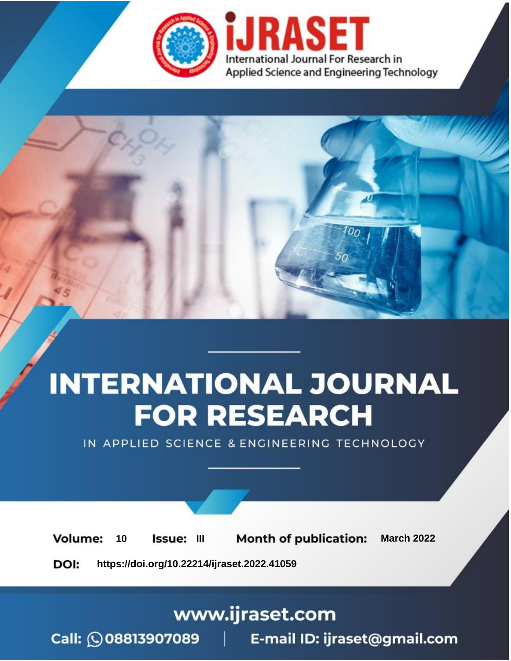

# **INTERNATIONAL JOURNAL FOR RESEARCH**

IN APPLIED SCIENCE & ENGINEERING TECHNOLOGY

10 **Issue: III Month of publication:** March 2022 **Volume:** 

**https://doi.org/10.22214/ijraset.2022.41059**DOI:

www.ijraset.com

Call: 008813907089 | E-mail ID: ijraset@gmail.com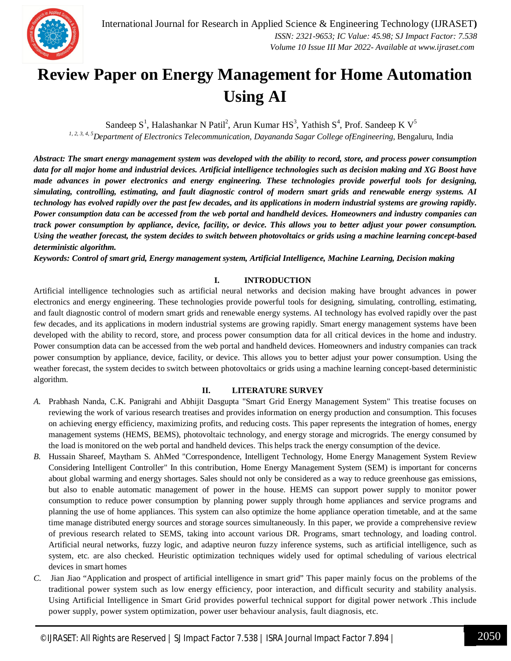### **Review Paper on Energy Management for Home Automation Using AI**

Sandeep S<sup>1</sup>, Halashankar N Patil<sup>2</sup>, Arun Kumar HS<sup>3</sup>, Yathish S<sup>4</sup>, Prof. Sandeep K V<sup>5</sup> *1, 2, 3, 4, 5Department of Electronics Telecommunication, Dayananda Sagar College ofEngineering,* Bengaluru, India

*Abstract: The smart energy management system was developed with the ability to record, store, and process power consumption data for all major home and industrial devices. Artificial intelligence technologies such as decision making and XG Boost have made advances in power electronics and energy engineering. These technologies provide powerful tools for designing, simulating, controlling, estimating, and fault diagnostic control of modern smart grids and renewable energy systems. AI technology has evolved rapidly over the past few decades, and its applications in modern industrial systems are growing rapidly. Power consumption data can be accessed from the web portal and handheld devices. Homeowners and industry companies can track power consumption by appliance, device, facility, or device. This allows you to better adjust your power consumption. Using the weather forecast, the system decides to switch between photovoltaics or grids using a machine learning concept-based deterministic algorithm.*

*Keywords: Control of smart grid, Energy management system, Artificial Intelligence, Machine Learning, Decision making*

#### **I. INTRODUCTION**

Artificial intelligence technologies such as artificial neural networks and decision making have brought advances in power electronics and energy engineering. These technologies provide powerful tools for designing, simulating, controlling, estimating, and fault diagnostic control of modern smart grids and renewable energy systems. AI technology has evolved rapidly over the past few decades, and its applications in modern industrial systems are growing rapidly. Smart energy management systems have been developed with the ability to record, store, and process power consumption data for all critical devices in the home and industry. Power consumption data can be accessed from the web portal and handheld devices. Homeowners and industry companies can track power consumption by appliance, device, facility, or device. This allows you to better adjust your power consumption. Using the weather forecast, the system decides to switch between photovoltaics or grids using a machine learning concept-based deterministic algorithm.

#### **II. LITERATURE SURVEY**

- *A.* Prabhash Nanda, C.K. Panigrahi and Abhijit Dasgupta "Smart Grid Energy Management System" This treatise focuses on reviewing the work of various research treatises and provides information on energy production and consumption. This focuses on achieving energy efficiency, maximizing profits, and reducing costs. This paper represents the integration of homes, energy management systems (HEMS, BEMS), photovoltaic technology, and energy storage and microgrids. The energy consumed by the load is monitored on the web portal and handheld devices. This helps track the energy consumption of the device.
- *B.* Hussain Shareef, Maytham S. AhMed "Correspondence, Intelligent Technology, Home Energy Management System Review Considering Intelligent Controller" In this contribution, Home Energy Management System (SEM) is important for concerns about global warming and energy shortages. Sales should not only be considered as a way to reduce greenhouse gas emissions, but also to enable automatic management of power in the house. HEMS can support power supply to monitor power consumption to reduce power consumption by planning power supply through home appliances and service programs and planning the use of home appliances. This system can also optimize the home appliance operation timetable, and at the same time manage distributed energy sources and storage sources simultaneously. In this paper, we provide a comprehensive review of previous research related to SEMS, taking into account various DR. Programs, smart technology, and loading control. Artificial neural networks, fuzzy logic, and adaptive neuron fuzzy inference systems, such as artificial intelligence, such as system, etc. are also checked. Heuristic optimization techniques widely used for optimal scheduling of various electrical devices in smart homes
- *C.* Jian Jiao "Application and prospect of artificial intelligence in smart grid" This paper mainly focus on the problems of the traditional power system such as low energy efficiency, poor interaction, and difficult security and stability analysis. Using Artificial Intelligence in Smart Grid provides powerful technical support for digital power network .This include power supply, power system optimization, power user behaviour analysis, fault diagnosis, etc.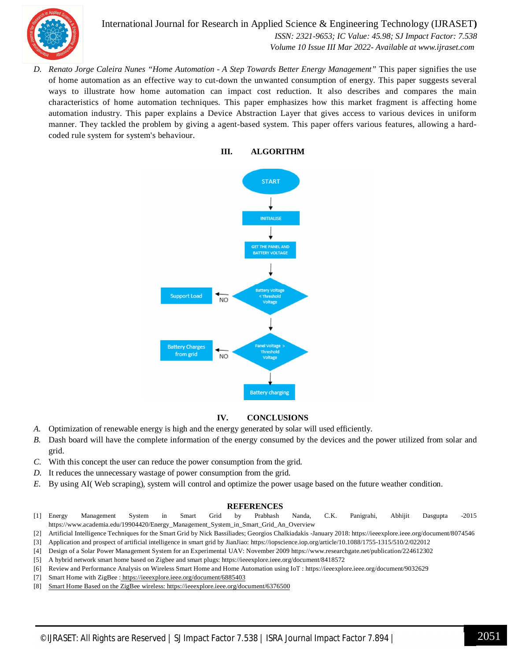

International Journal for Research in Applied Science & Engineering Technology (IJRASET**)**  *ISSN: 2321-9653; IC Value: 45.98; SJ Impact Factor: 7.538 Volume 10 Issue III Mar 2022- Available at www.ijraset.com*

*D. Renato Jorge Caleira Nunes "Home Automation - A Step Towards Better Energy Management"* This paper signifies the use of home automation as an effective way to cut-down the unwanted consumption of energy. This paper suggests several ways to illustrate how home automation can impact cost reduction. It also describes and compares the main characteristics of home automation techniques. This paper emphasizes how this market fragment is affecting home automation industry. This paper explains a Device Abstraction Layer that gives access to various devices in uniform manner. They tackled the problem by giving a agent-based system. This paper offers various features, allowing a hardcoded rule system for system's behaviour.

> **III. ALGORITHM START INITIALISE** SET THE PANEL ANI **BATTERY VOLTAGE Support Load** N<sub>O</sub> **Battery Charges** from grid **NO Battery charging**

#### **IV. CONCLUSIONS**

- *A.* Optimization of renewable energy is high and the energy generated by solar will used efficiently.
- *B.* Dash board will have the complete information of the energy consumed by the devices and the power utilized from solar and grid.
- *C.* With this concept the user can reduce the power consumption from the grid.
- *D.* It reduces the unnecessary wastage of power consumption from the grid.
- *E.* By using AI( Web scraping), system will control and optimize the power usage based on the future weather condition.

#### **REFERENCES**

- [1] Energy Management System in Smart Grid by Prabhash Nanda, C.K. Panigrahi, Abhijit Dasgupta -2015 https://www.academia.edu/19904420/Energy\_Management\_System\_in\_Smart\_Grid\_An\_Overview
- [2] Artificial Intelligence Techniques for the Smart Grid by Nick Bassiliades; Georgios Chalkiadakis -January 2018: https://ieeexplore.ieee.org/document/8074546
- [3] Application and prospect of artificial intelligence in smart grid by JianJiao: https://iopscience.iop.org/article/10.1088/1755-1315/510/2/022012
- [4] Design of a Solar Power Management System for an Experimental UAV: November 2009 https://www.researchgate.net/publication/224612302
- [5] A hybrid network smart home based on Zigbee and smart plugs: https://ieeexplore.ieee.org/document/8418572
- [6] Review and Performance Analysis on Wireless Smart Home and Home Automation using IoT : https://ieeexplore.ieee.org/document/9032629
- [7] Smart Home with ZigBee : https://ieeexplore.ieee.org/document/6885403
- [8] Smart Home Based on the ZigBee wireless: https://ieeexplore.ieee.org/document/6376500